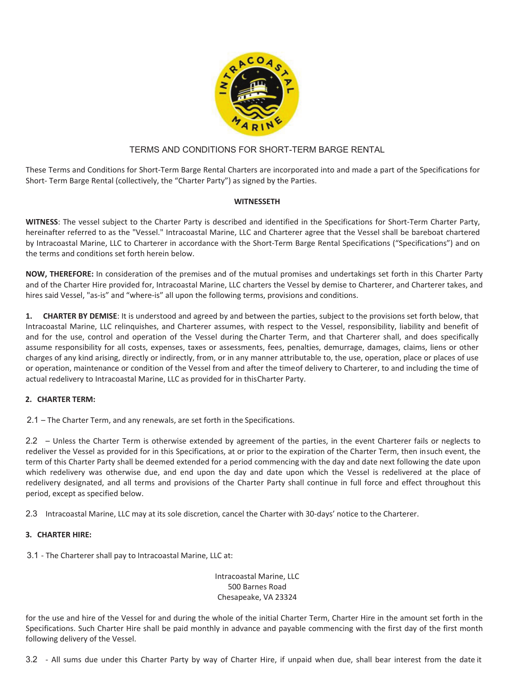

## TERMS AND CONDITIONS FOR SHORT-TERM BARGE RENTAL

These Terms and Conditions for Short-Term Barge Rental Charters are incorporated into and made a part of the Specifications for Short- Term Barge Rental (collectively, the "Charter Party") as signed by the Parties.

#### **WITNESSETH**

**WITNESS**: The vessel subject to the Charter Party is described and identified in the Specifications for Short-Term Charter Party, hereinafter referred to as the "Vessel." Intracoastal Marine, LLC and Charterer agree that the Vessel shall be bareboat chartered by Intracoastal Marine, LLC to Charterer in accordance with the Short-Term Barge Rental Specifications ("Specifications") and on the terms and conditions set forth herein below.

**NOW, THEREFORE:** In consideration of the premises and of the mutual promises and undertakings set forth in this Charter Party and of the Charter Hire provided for, Intracoastal Marine, LLC charters the Vessel by demise to Charterer, and Charterer takes, and hires said Vessel, "as-is" and "where-is" all upon the following terms, provisions and conditions.

**1. CHARTER BY DEMISE**: It is understood and agreed by and between the parties, subject to the provisions set forth below, that Intracoastal Marine, LLC relinquishes, and Charterer assumes, with respect to the Vessel, responsibility, liability and benefit of and for the use, control and operation of the Vessel during the Charter Term, and that Charterer shall, and does specifically assume responsibility for all costs, expenses, taxes or assessments, fees, penalties, demurrage, damages, claims, liens or other charges of any kind arising, directly or indirectly, from, or in any manner attributable to, the use, operation, place or places of use or operation, maintenance or condition of the Vessel from and after the time of delivery to Charterer, to and including the time of actual redelivery to Intracoastal Marine, LLC as provided for in this Charter Party.

### **2. CHARTER TERM:**

2.1 – The Charter Term, and any renewals, are set forth in the Specifications.

2.2 – Unless the Charter Term is otherwise extended by agreement of the parties, in the event Charterer fails or neglects to redeliver the Vessel as provided for in this Specifications, at or prior to the expiration of the Charter Term, then in such event, the term of this Charter Party shall be deemed extended for a period commencing with the day and date next following the date upon which redelivery was otherwise due, and end upon the day and date upon which the Vessel is redelivered at the place of redelivery designated, and all terms and provisions of the Charter Party shall continue in full force and effect throughout this period, except as specified below.

2.3 Intracoastal Marine, LLC may at its sole discretion, cancel the Charter with 30-days' notice to the Charterer.

# **3. CHARTER HIRE:**

3.1 - The Charterer shall pay to Intracoastal Marine, LLC at:

 Intracoastal Marine, LLC 500 Barnes Road Chesapeake, VA 23324

for the use and hire of the Vessel for and during the whole of the initial Charter Term, Charter Hire in the amount set forth in the Specifications. Such Charter Hire shall be paid monthly in advance and payable commencing with the first day of the first month following delivery of the Vessel.

3.2 - All sums due under this Charter Party by way of Charter Hire, if unpaid when due, shall bear interest from the date it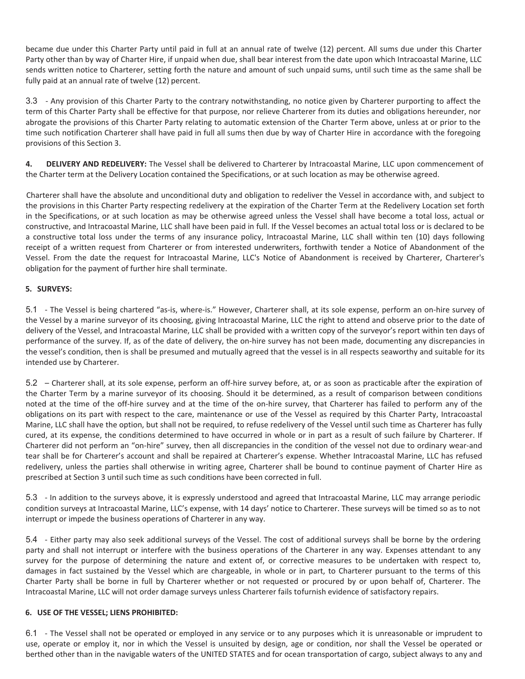became due under this Charter Party until paid in full at an annual rate of twelve (12) percent. All sums due under this Charter Party other than by way of Charter Hire, if unpaid when due, shall bear interest from the date upon which Intracoastal Marine, LLC sends written notice to Charterer, setting forth the nature and amount of such unpaid sums, until such time as the same shall be fully paid at an annual rate of twelve (12) percent.

3.3 - Any provision of this Charter Party to the contrary notwithstanding, no notice given by Charterer purporting to affect the term of this Charter Party shall be effective for that purpose, nor relieve Charterer from its duties and obligations hereunder, nor abrogate the provisions of this Charter Party relating to automatic extension of the Charter Term above, unless at or prior to the time such notification Charterer shall have paid in full all sums then due by way of Charter Hire in accordance with the foregoing provisions of this Section 3.

**4. DELIVERY AND REDELIVERY:** The Vessel shall be delivered to Charterer by Intracoastal Marine, LLC upon commencement of the Charter term at the Delivery Location contained the Specifications, or at such location as may be otherwise agreed.

Charterer shall have the absolute and unconditional duty and obligation to redeliver the Vessel in accordance with, and subject to the provisions in this Charter Party respecting redelivery at the expiration of the Charter Term at the Redelivery Location set forth in the Specifications, or at such location as may be otherwise agreed unless the Vessel shall have become a total loss, actual or constructive, and Intracoastal Marine, LLC shall have been paid in full. If the Vessel becomes an actual total loss or is declared to be a constructive total loss under the terms of any insurance policy, Intracoastal Marine, LLC shall within ten (10) days following receipt of a written request from Charterer or from interested underwriters, forthwith tender a Notice of Abandonment of the Vessel. From the date the request for Intracoastal Marine, LLC's Notice of Abandonment is received by Charterer, Charterer's obligation for the payment of further hire shall terminate.

# **5. SURVEYS:**

5.1 - The Vessel is being chartered "as-is, where-is." However, Charterer shall, at its sole expense, perform an on-hire survey of the Vessel by a marine surveyor of its choosing, giving Intracoastal Marine, LLC the right to attend and observe prior to the date of delivery of the Vessel, and Intracoastal Marine, LLC shall be provided with a written copy of the surveyor's report within ten days of performance of the survey. If, as of the date of delivery, the on-hire survey has not been made, documenting any discrepancies in the vessel's condition, then is shall be presumed and mutually agreed that the vessel is in all respects seaworthy and suitable for its intended use by Charterer.

5.2 – Charterer shall, at its sole expense, perform an off-hire survey before, at, or as soon as practicable after the expiration of the Charter Term by a marine surveyor of its choosing. Should it be determined, as a result of comparison between conditions noted at the time of the off-hire survey and at the time of the on-hire survey, that Charterer has failed to perform any of the obligations on its part with respect to the care, maintenance or use of the Vessel as required by this Charter Party, Intracoastal Marine, LLC shall have the option, but shall not be required, to refuse redelivery of the Vessel until such time as Charterer has fully cured, at its expense, the conditions determined to have occurred in whole or in part as a result of such failure by Charterer. If Charterer did not perform an "on-hire" survey, then all discrepancies in the condition of the vessel not due to ordinary wear-and tear shall be for Charterer's account and shall be repaired at Charterer's expense. Whether Intracoastal Marine, LLC has refused redelivery, unless the parties shall otherwise in writing agree, Charterer shall be bound to continue payment of Charter Hire as prescribed at Section 3 until such time as such conditions have been corrected in full.

5.3 - In addition to the surveys above, it is expressly understood and agreed that Intracoastal Marine, LLC may arrange periodic condition surveys at Intracoastal Marine, LLC's expense, with 14 days' notice to Charterer. These surveys will be timed so as to not interrupt or impede the business operations of Charterer in any way.

5.4 - Either party may also seek additional surveys of the Vessel. The cost of additional surveys shall be borne by the ordering party and shall not interrupt or interfere with the business operations of the Charterer in any way. Expenses attendant to any survey for the purpose of determining the nature and extent of, or corrective measures to be undertaken with respect to, damages in fact sustained by the Vessel which are chargeable, in whole or in part, to Charterer pursuant to the terms of this Charter Party shall be borne in full by Charterer whether or not requested or procured by or upon behalf of, Charterer. The Intracoastal Marine, LLC will not order damage surveys unless Charterer fails tofurnish evidence of satisfactory repairs.

### **6. USE OF THE VESSEL; LIENS PROHIBITED:**

6.1 - The Vessel shall not be operated or employed in any service or to any purposes which it is unreasonable or imprudent to use, operate or employ it, nor in which the Vessel is unsuited by design, age or condition, nor shall the Vessel be operated or berthed other than in the navigable waters of the UNITED STATES and for ocean transportation of cargo, subject always to any and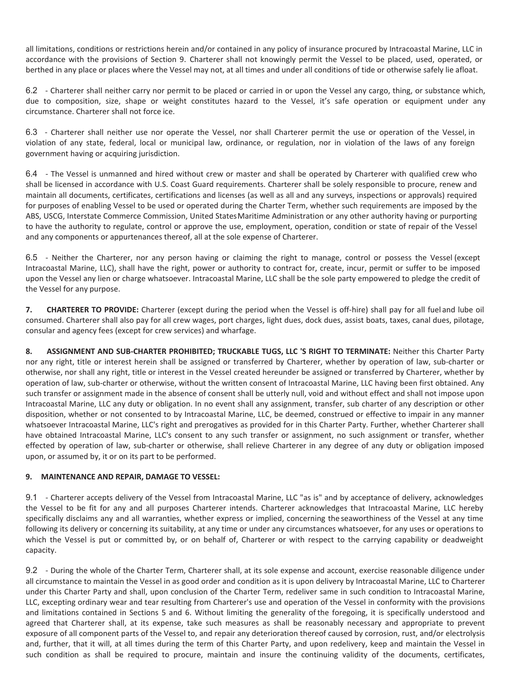all limitations, conditions or restrictions herein and/or contained in any policy of insurance procured by Intracoastal Marine, LLC in accordance with the provisions of Section 9. Charterer shall not knowingly permit the Vessel to be placed, used, operated, or berthed in any place or places where the Vessel may not, at all times and under all conditions of tide or otherwise safely lie afloat.

6.2 - Charterer shall neither carry nor permit to be placed or carried in or upon the Vessel any cargo, thing, or substance which, due to composition, size, shape or weight constitutes hazard to the Vessel, it's safe operation or equipment under any circumstance. Charterer shall not force ice.

6.3 - Charterer shall neither use nor operate the Vessel, nor shall Charterer permit the use or operation of the Vessel, in violation of any state, federal, local or municipal law, ordinance, or regulation, nor in violation of the laws of any foreign government having or acquiring jurisdiction.

6.4 - The Vessel is unmanned and hired without crew or master and shall be operated by Charterer with qualified crew who shall be licensed in accordance with U.S. Coast Guard requirements. Charterer shall be solely responsible to procure, renew and maintain all documents, certificates, certifications and licenses (as well as all and any surveys, inspections or approvals) required for purposes of enabling Vessel to be used or operated during the Charter Term, whether such requirements are imposed by the ABS, USCG, Interstate Commerce Commission, United States Maritime Administration or any other authority having or purporting to have the authority to regulate, control or approve the use, employment, operation, condition or state of repair of the Vessel and any components or appurtenances thereof, all at the sole expense of Charterer.

6.5 - Neither the Charterer, nor any person having or claiming the right to manage, control or possess the Vessel (except Intracoastal Marine, LLC), shall have the right, power or authority to contract for, create, incur, permit or suffer to be imposed upon the Vessel any lien or charge whatsoever. Intracoastal Marine, LLC shall be the sole party empowered to pledge the credit of the Vessel for any purpose.

**7. CHARTERER TO PROVIDE:** Charterer (except during the period when the Vessel is off-hire) shall pay for all fuel and lube oil consumed. Charterer shall also pay for all crew wages, port charges, light dues, dock dues, assist boats, taxes, canal dues, pilotage, consular and agency fees (except for crew services) and wharfage.

**8. ASSIGNMENT AND SUB-CHARTER PROHIBITED; TRUCKABLE TUGS, LLC 'S RIGHT TO TERMINATE:** Neither this Charter Party nor any right, title or interest herein shall be assigned or transferred by Charterer, whether by operation of law, sub-charter or otherwise, nor shall any right, title or interest in the Vessel created hereunder be assigned or transferred by Charterer, whether by operation of law, sub-charter or otherwise, without the written consent of Intracoastal Marine, LLC having been first obtained. Any such transfer or assignment made in the absence of consent shall be utterly null, void and without effect and shall not impose upon Intracoastal Marine, LLC any duty or obligation. In no event shall any assignment, transfer, sub charter of any description or other disposition, whether or not consented to by Intracoastal Marine, LLC, be deemed, construed or effective to impair in any manner whatsoever Intracoastal Marine, LLC's right and prerogatives as provided for in this Charter Party. Further, whether Charterer shall have obtained Intracoastal Marine, LLC's consent to any such transfer or assignment, no such assignment or transfer, whether effected by operation of law, sub-charter or otherwise, shall relieve Charterer in any degree of any duty or obligation imposed upon, or assumed by, it or on its part to be performed.

### **9. MAINTENANCE AND REPAIR, DAMAGE TO VESSEL:**

9.1 - Charterer accepts delivery of the Vessel from Intracoastal Marine, LLC "as is" and by acceptance of delivery, acknowledges the Vessel to be fit for any and all purposes Charterer intends. Charterer acknowledges that Intracoastal Marine, LLC hereby specifically disclaims any and all warranties, whether express or implied, concerning the seaworthiness of the Vessel at any time following its delivery or concerning its suitability, at any time or under any circumstances whatsoever, for any uses or operations to which the Vessel is put or committed by, or on behalf of, Charterer or with respect to the carrying capability or deadweight capacity.

9.2 - During the whole of the Charter Term, Charterer shall, at its sole expense and account, exercise reasonable diligence under all circumstance to maintain the Vessel in as good order and condition as it is upon delivery by Intracoastal Marine, LLC to Charterer under this Charter Party and shall, upon conclusion of the Charter Term, redeliver same in such condition to Intracoastal Marine, LLC, excepting ordinary wear and tear resulting from Charterer's use and operation of the Vessel in conformity with the provisions and limitations contained in Sections 5 and 6. Without limiting the generality of the foregoing, it is specifically understood and agreed that Charterer shall, at its expense, take such measures as shall be reasonably necessary and appropriate to prevent exposure of all component parts of the Vessel to, and repair any deterioration thereof caused by corrosion, rust, and/or electrolysis and, further, that it will, at all times during the term of this Charter Party, and upon redelivery, keep and maintain the Vessel in such condition as shall be required to procure, maintain and insure the continuing validity of the documents, certificates,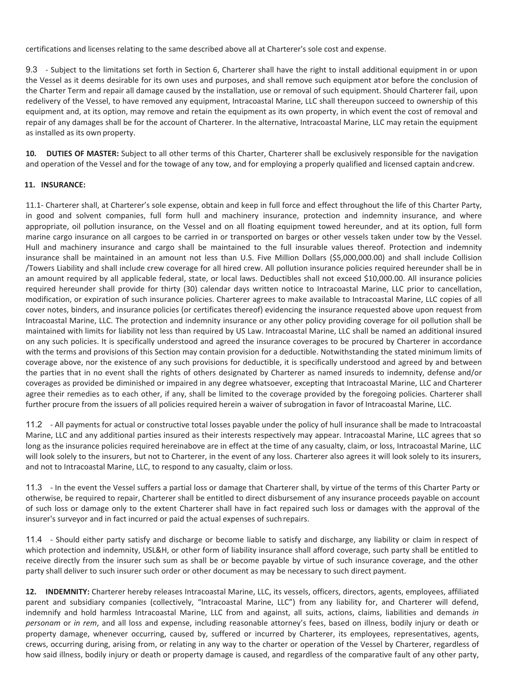certifications and licenses relating to the same described above all at Charterer's sole cost and expense.

9.3 - Subject to the limitations set forth in Section 6, Charterer shall have the right to install additional equipment in or upon the Vessel as it deems desirable for its own uses and purposes, and shall remove such equipment ator before the conclusion of the Charter Term and repair all damage caused by the installation, use or removal of such equipment. Should Charterer fail, upon redelivery of the Vessel, to have removed any equipment, Intracoastal Marine, LLC shall thereupon succeed to ownership of this equipment and, at its option, may remove and retain the equipment as its own property, in which event the cost of removal and repair of any damages shall be for the account of Charterer. In the alternative, Intracoastal Marine, LLC may retain the equipment as installed as its own property.

**10. DUTIES OF MASTER:** Subject to all other terms of this Charter, Charterer shall be exclusively responsible for the navigation and operation of the Vessel and for the towage of any tow, and for employing a properly qualified and licensed captain and crew.

#### **11. INSURANCE:**

11.1- Charterer shall, at Charterer's sole expense, obtain and keep in full force and effect throughout the life of this Charter Party, in good and solvent companies, full form hull and machinery insurance, protection and indemnity insurance, and where appropriate, oil pollution insurance, on the Vessel and on all floating equipment towed hereunder, and at its option, full form marine cargo insurance on all cargoes to be carried in or transported on barges or other vessels taken under tow by the Vessel. Hull and machinery insurance and cargo shall be maintained to the full insurable values thereof. Protection and indemnity insurance shall be maintained in an amount not less than U.S. Five Million Dollars (\$5,000,000.00) and shall include Collision /Towers Liability and shall include crew coverage for all hired crew. All pollution insurance policies required hereunder shall be in an amount required by all applicable federal, state, or local laws. Deductibles shall not exceed \$10,000.00. All insurance policies required hereunder shall provide for thirty (30) calendar days written notice to Intracoastal Marine, LLC prior to cancellation, modification, or expiration of such insurance policies. Charterer agrees to make available to Intracoastal Marine, LLC copies of all cover notes, binders, and insurance policies (or certificates thereof) evidencing the insurance requested above upon request from Intracoastal Marine, LLC. The protection and indemnity insurance or any other policy providing coverage for oil pollution shall be maintained with limits for liability not less than required by US Law. Intracoastal Marine, LLC shall be named an additional insured on any such policies. It is specifically understood and agreed the insurance coverages to be procured by Charterer in accordance with the terms and provisions of this Section may contain provision for a deductible. Notwithstanding the stated minimum limits of coverage above, nor the existence of any such provisions for deductible, it is specifically understood and agreed by and between the parties that in no event shall the rights of others designated by Charterer as named insureds to indemnity, defense and/or coverages as provided be diminished or impaired in any degree whatsoever, excepting that Intracoastal Marine, LLC and Charterer agree their remedies as to each other, if any, shall be limited to the coverage provided by the foregoing policies. Charterer shall further procure from the issuers of all policies required herein a waiver of subrogation in favor of Intracoastal Marine, LLC.

11.2 - All payments for actual or constructive total losses payable under the policy of hull insurance shall be made to Intracoastal Marine, LLC and any additional parties insured as their interests respectively may appear. Intracoastal Marine, LLC agrees that so long as the insurance policies required hereinabove are in effect at the time of any casualty, claim, or loss, Intracoastal Marine, LLC will look solely to the insurers, but not to Charterer, in the event of any loss. Charterer also agrees it will look solely to its insurers, and not to Intracoastal Marine, LLC, to respond to any casualty, claim or loss.

11.3 - In the event the Vessel suffers a partial loss or damage that Charterer shall, by virtue of the terms of this Charter Party or otherwise, be required to repair, Charterer shall be entitled to direct disbursement of any insurance proceeds payable on account of such loss or damage only to the extent Charterer shall have in fact repaired such loss or damages with the approval of the insurer's surveyor and in fact incurred or paid the actual expenses of such repairs.

11.4 - Should either party satisfy and discharge or become liable to satisfy and discharge, any liability or claim in respect of which protection and indemnity, USL&H, or other form of liability insurance shall afford coverage, such party shall be entitled to receive directly from the insurer such sum as shall be or become payable by virtue of such insurance coverage, and the other party shall deliver to such insurer such order or other document as may be necessary to such direct payment.

**12. INDEMNITY:** Charterer hereby releases Intracoastal Marine, LLC, its vessels, officers, directors, agents, employees, affiliated parent and subsidiary companies (collectively, "Intracoastal Marine, LLC") from any liability for, and Charterer will defend, indemnify and hold harmless Intracoastal Marine, LLC from and against, all suits, actions, claims, liabilities and demands *in personam* or *in rem*, and all loss and expense, including reasonable attorney's fees, based on illness, bodily injury or death or property damage, whenever occurring, caused by, suffered or incurred by Charterer, its employees, representatives, agents, crews, occurring during, arising from, or relating in any way to the charter or operation of the Vessel by Charterer, regardless of how said illness, bodily injury or death or property damage is caused, and regardless of the comparative fault of any other party,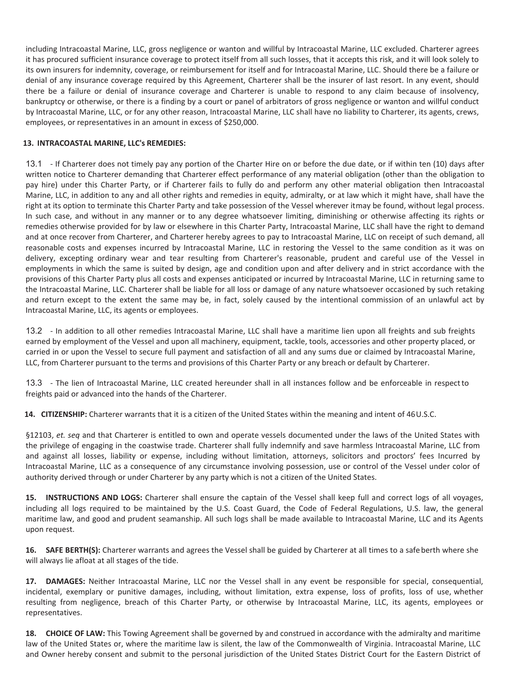including Intracoastal Marine, LLC, gross negligence or wanton and willful by Intracoastal Marine, LLC excluded. Charterer agrees it has procured sufficient insurance coverage to protect itself from all such losses, that it accepts this risk, and it will look solely to its own insurers for indemnity, coverage, or reimbursement for itself and for Intracoastal Marine, LLC. Should there be a failure or denial of any insurance coverage required by this Agreement, Charterer shall be the insurer of last resort. In any event, should there be a failure or denial of insurance coverage and Charterer is unable to respond to any claim because of insolvency, bankruptcy or otherwise, or there is a finding by a court or panel of arbitrators of gross negligence or wanton and willful conduct by Intracoastal Marine, LLC, or for any other reason, Intracoastal Marine, LLC shall have no liability to Charterer, its agents, crews, employees, or representatives in an amount in excess of \$250,000.

### **13. INTRACOASTAL MARINE, LLC's REMEDIES:**

13.1 - If Charterer does not timely pay any portion of the Charter Hire on or before the due date, or if within ten (10) days after written notice to Charterer demanding that Charterer effect performance of any material obligation (other than the obligation to pay hire) under this Charter Party, or if Charterer fails to fully do and perform any other material obligation then Intracoastal Marine, LLC, in addition to any and all other rights and remedies in equity, admiralty, or at law which it might have, shall have the right at its option to terminate this Charter Party and take possession of the Vessel wherever itmay be found, without legal process. In such case, and without in any manner or to any degree whatsoever limiting, diminishing or otherwise affecting its rights or remedies otherwise provided for by law or elsewhere in this Charter Party, Intracoastal Marine, LLC shall have the right to demand and at once recover from Charterer, and Charterer hereby agrees to pay to Intracoastal Marine, LLC on receipt of such demand, all reasonable costs and expenses incurred by Intracoastal Marine, LLC in restoring the Vessel to the same condition as it was on delivery, excepting ordinary wear and tear resulting from Charterer's reasonable, prudent and careful use of the Vessel in employments in which the same is suited by design, age and condition upon and after delivery and in strict accordance with the provisions of this Charter Party plus all costs and expenses anticipated or incurred by Intracoastal Marine, LLC in returning same to the Intracoastal Marine, LLC. Charterer shall be liable for all loss or damage of any nature whatsoever occasioned by such retaking and return except to the extent the same may be, in fact, solely caused by the intentional commission of an unlawful act by Intracoastal Marine, LLC, its agents or employees.

13.2 - In addition to all other remedies Intracoastal Marine, LLC shall have a maritime lien upon all freights and sub freights earned by employment of the Vessel and upon all machinery, equipment, tackle, tools, accessories and other property placed, or carried in or upon the Vessel to secure full payment and satisfaction of all and any sums due or claimed by Intracoastal Marine, LLC, from Charterer pursuant to the terms and provisions of this Charter Party or any breach or default by Charterer.

13.3 - The lien of Intracoastal Marine, LLC created hereunder shall in all instances follow and be enforceable in respect to freights paid or advanced into the hands of the Charterer.

**14. CITIZENSHIP:** Charterer warrants that it is a citizen of the United States within the meaning and intent of 46 U.S.C.

§12103, *et. seq* and that Charterer is entitled to own and operate vessels documented under the laws of the United States with the privilege of engaging in the coastwise trade. Charterer shall fully indemnify and save harmless Intracoastal Marine, LLC from and against all losses, liability or expense, including without limitation, attorneys, solicitors and proctors' fees Incurred by Intracoastal Marine, LLC as a consequence of any circumstance involving possession, use or control of the Vessel under color of authority derived through or under Charterer by any party which is not a citizen of the United States.

**15. INSTRUCTIONS AND LOGS:** Charterer shall ensure the captain of the Vessel shall keep full and correct logs of all voyages, including all logs required to be maintained by the U.S. Coast Guard, the Code of Federal Regulations, U.S. law, the general maritime law, and good and prudent seamanship. All such logs shall be made available to Intracoastal Marine, LLC and its Agents upon request.

**16. SAFE BERTH(S):** Charterer warrants and agrees the Vessel shall be guided by Charterer at all times to a safe berth where she will always lie afloat at all stages of the tide.

**17. DAMAGES:** Neither Intracoastal Marine, LLC nor the Vessel shall in any event be responsible for special, consequential, incidental, exemplary or punitive damages, including, without limitation, extra expense, loss of profits, loss of use, whether resulting from negligence, breach of this Charter Party, or otherwise by Intracoastal Marine, LLC, its agents, employees or representatives.

**18. CHOICE OF LAW:** This Towing Agreement shall be governed by and construed in accordance with the admiralty and maritime law of the United States or, where the maritime law is silent, the law of the Commonwealth of Virginia. Intracoastal Marine, LLC and Owner hereby consent and submit to the personal jurisdiction of the United States District Court for the Eastern District of